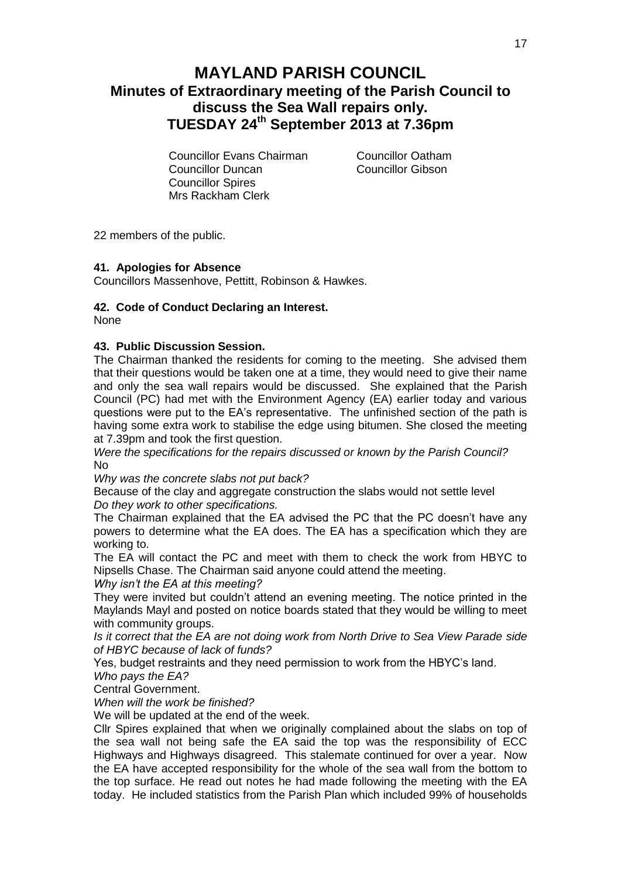# **MAYLAND PARISH COUNCIL Minutes of Extraordinary meeting of the Parish Council to discuss the Sea Wall repairs only. TUESDAY 24th September 2013 at 7.36pm**

Councillor Evans Chairman Councillor Oatham Councillor Duncan Councillor Gibson Councillor Spires Mrs Rackham Clerk

22 members of the public.

## **41. Apologies for Absence**

Councillors Massenhove, Pettitt, Robinson & Hawkes.

## **42. Code of Conduct Declaring an Interest.**

None

## **43. Public Discussion Session.**

The Chairman thanked the residents for coming to the meeting. She advised them that their questions would be taken one at a time, they would need to give their name and only the sea wall repairs would be discussed. She explained that the Parish Council (PC) had met with the Environment Agency (EA) earlier today and various questions were put to the EA's representative. The unfinished section of the path is having some extra work to stabilise the edge using bitumen. She closed the meeting at 7.39pm and took the first question.

*Were the specifications for the repairs discussed or known by the Parish Council?* No

*Why was the concrete slabs not put back?*

Because of the clay and aggregate construction the slabs would not settle level *Do they work to other specifications.*

The Chairman explained that the EA advised the PC that the PC doesn't have any powers to determine what the EA does. The EA has a specification which they are working to.

The EA will contact the PC and meet with them to check the work from HBYC to Nipsells Chase. The Chairman said anyone could attend the meeting.

*Why isn't the EA at this meeting?*

They were invited but couldn't attend an evening meeting. The notice printed in the Maylands Mayl and posted on notice boards stated that they would be willing to meet with community groups.

*Is it correct that the EA are not doing work from North Drive to Sea View Parade side of HBYC because of lack of funds?*

Yes, budget restraints and they need permission to work from the HBYC's land. *Who pays the EA?*

Central Government.

*When will the work be finished?*

We will be updated at the end of the week.

Cllr Spires explained that when we originally complained about the slabs on top of the sea wall not being safe the EA said the top was the responsibility of ECC Highways and Highways disagreed. This stalemate continued for over a year. Now the EA have accepted responsibility for the whole of the sea wall from the bottom to the top surface. He read out notes he had made following the meeting with the EA today. He included statistics from the Parish Plan which included 99% of households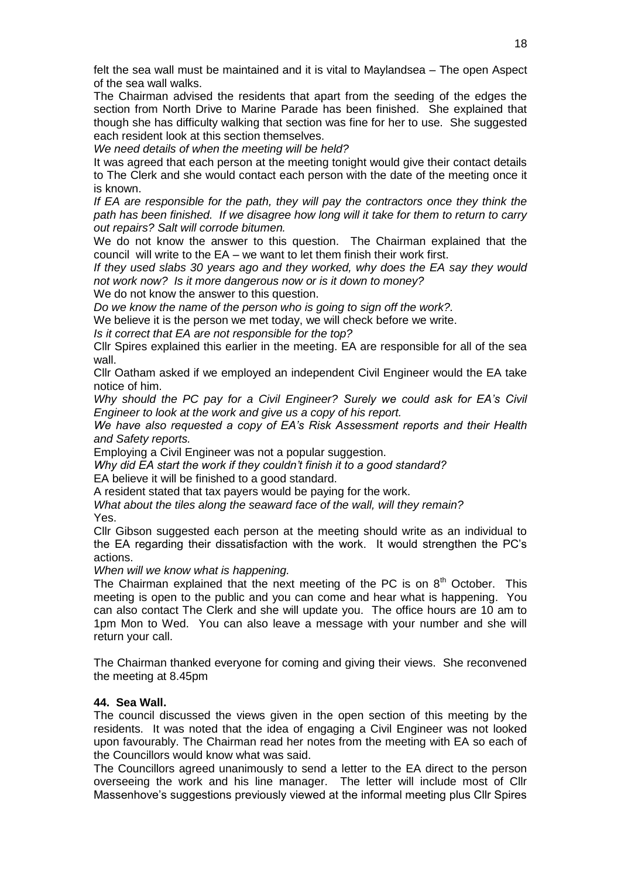felt the sea wall must be maintained and it is vital to Maylandsea – The open Aspect of the sea wall walks.

The Chairman advised the residents that apart from the seeding of the edges the section from North Drive to Marine Parade has been finished. She explained that though she has difficulty walking that section was fine for her to use. She suggested each resident look at this section themselves.

*We need details of when the meeting will be held?*

It was agreed that each person at the meeting tonight would give their contact details to The Clerk and she would contact each person with the date of the meeting once it is known.

*If EA are responsible for the path, they will pay the contractors once they think the path has been finished. If we disagree how long will it take for them to return to carry out repairs? Salt will corrode bitumen.*

We do not know the answer to this question. The Chairman explained that the council will write to the EA – we want to let them finish their work first.

*If they used slabs 30 years ago and they worked, why does the EA say they would not work now? Is it more dangerous now or is it down to money?*

We do not know the answer to this question.

*Do we know the name of the person who is going to sign off the work?.*

We believe it is the person we met today, we will check before we write.

*Is it correct that EA are not responsible for the top?* 

Cllr Spires explained this earlier in the meeting. EA are responsible for all of the sea wall.

Cllr Oatham asked if we employed an independent Civil Engineer would the EA take notice of him.

*Why should the PC pay for a Civil Engineer? Surely we could ask for EA's Civil Engineer to look at the work and give us a copy of his report.*

*We have also requested a copy of EA's Risk Assessment reports and their Health and Safety reports.*

Employing a Civil Engineer was not a popular suggestion.

*Why did EA start the work if they couldn't finish it to a good standard?*

EA believe it will be finished to a good standard.

A resident stated that tax payers would be paying for the work.

*What about the tiles along the seaward face of the wall, will they remain?* Yes.

Cllr Gibson suggested each person at the meeting should write as an individual to the EA regarding their dissatisfaction with the work. It would strengthen the PC's actions.

*When will we know what is happening.*

The Chairman explained that the next meeting of the PC is on  $8<sup>th</sup>$  October. This meeting is open to the public and you can come and hear what is happening. You can also contact The Clerk and she will update you. The office hours are 10 am to 1pm Mon to Wed. You can also leave a message with your number and she will return your call.

The Chairman thanked everyone for coming and giving their views. She reconvened the meeting at 8.45pm

### **44. Sea Wall.**

The council discussed the views given in the open section of this meeting by the residents. It was noted that the idea of engaging a Civil Engineer was not looked upon favourably. The Chairman read her notes from the meeting with EA so each of the Councillors would know what was said.

The Councillors agreed unanimously to send a letter to the EA direct to the person overseeing the work and his line manager. The letter will include most of Cllr Massenhove's suggestions previously viewed at the informal meeting plus Cllr Spires